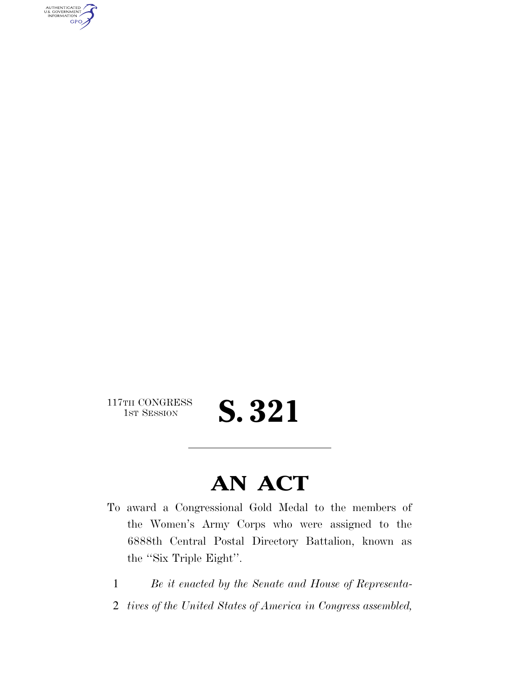AUTHENTICATED<br>U.S. GOVERNMENT<br>INFORMATION GPO

117TH CONGRESS<br>1st Session

S. 321

# **AN ACT**

- To award a Congressional Gold Medal to the members of the Women's Army Corps who were assigned to the 6888th Central Postal Directory Battalion, known as the ''Six Triple Eight''.
	- 1 *Be it enacted by the Senate and House of Representa-*
	- 2 *tives of the United States of America in Congress assembled,*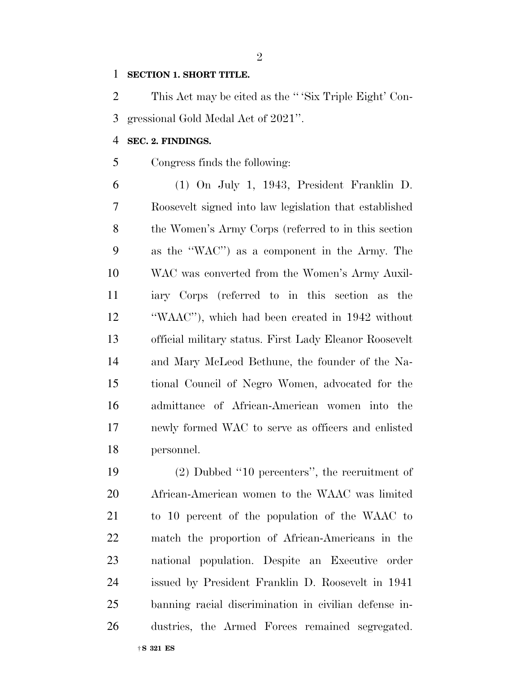#### **SECTION 1. SHORT TITLE.**

 This Act may be cited as the '' 'Six Triple Eight' Con-gressional Gold Medal Act of 2021''.

## **SEC. 2. FINDINGS.**

Congress finds the following:

 (1) On July 1, 1943, President Franklin D. Roosevelt signed into law legislation that established the Women's Army Corps (referred to in this section as the ''WAC'') as a component in the Army. The WAC was converted from the Women's Army Auxil- iary Corps (referred to in this section as the ''WAAC''), which had been created in 1942 without official military status. First Lady Eleanor Roosevelt and Mary McLeod Bethune, the founder of the Na- tional Council of Negro Women, advocated for the admittance of African-American women into the newly formed WAC to serve as officers and enlisted personnel.

 (2) Dubbed ''10 percenters'', the recruitment of African-American women to the WAAC was limited to 10 percent of the population of the WAAC to match the proportion of African-Americans in the national population. Despite an Executive order issued by President Franklin D. Roosevelt in 1941 banning racial discrimination in civilian defense in-dustries, the Armed Forces remained segregated.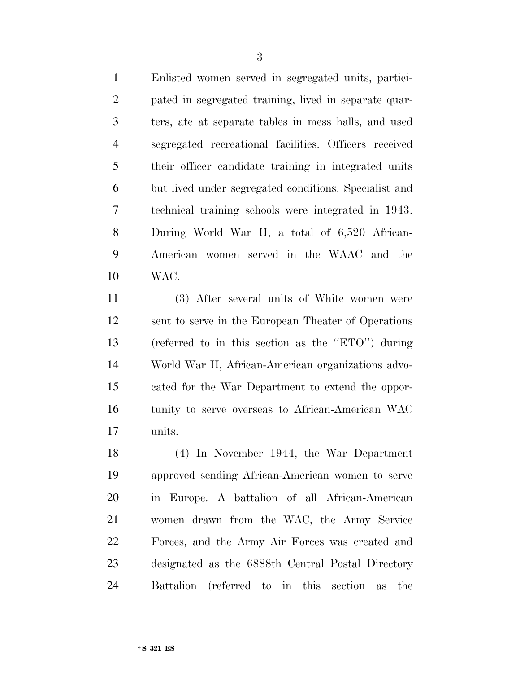Enlisted women served in segregated units, partici- pated in segregated training, lived in separate quar- ters, ate at separate tables in mess halls, and used segregated recreational facilities. Officers received their officer candidate training in integrated units but lived under segregated conditions. Specialist and technical training schools were integrated in 1943. During World War II, a total of 6,520 African- American women served in the WAAC and the WAC.

 (3) After several units of White women were sent to serve in the European Theater of Operations (referred to in this section as the ''ETO'') during World War II, African-American organizations advo- cated for the War Department to extend the oppor- tunity to serve overseas to African-American WAC units.

 (4) In November 1944, the War Department approved sending African-American women to serve in Europe. A battalion of all African-American women drawn from the WAC, the Army Service Forces, and the Army Air Forces was created and designated as the 6888th Central Postal Directory Battalion (referred to in this section as the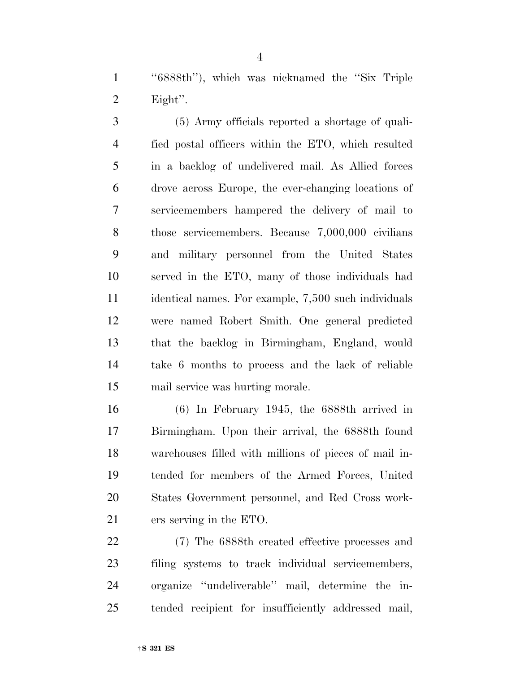''6888th''), which was nicknamed the ''Six Triple Eight''.

 (5) Army officials reported a shortage of quali- fied postal officers within the ETO, which resulted in a backlog of undelivered mail. As Allied forces drove across Europe, the ever-changing locations of servicemembers hampered the delivery of mail to those servicemembers. Because 7,000,000 civilians and military personnel from the United States served in the ETO, many of those individuals had identical names. For example, 7,500 such individuals were named Robert Smith. One general predicted that the backlog in Birmingham, England, would take 6 months to process and the lack of reliable mail service was hurting morale.

 (6) In February 1945, the 6888th arrived in Birmingham. Upon their arrival, the 6888th found warehouses filled with millions of pieces of mail in- tended for members of the Armed Forces, United States Government personnel, and Red Cross work-ers serving in the ETO.

 (7) The 6888th created effective processes and filing systems to track individual servicemembers, organize ''undeliverable'' mail, determine the in-tended recipient for insufficiently addressed mail,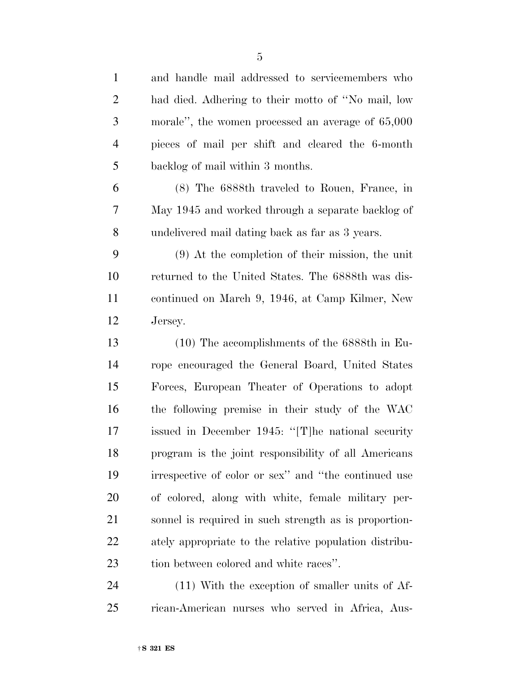| $\mathbf{1}$   | and handle mail addressed to servicemembers who        |
|----------------|--------------------------------------------------------|
| $\overline{2}$ | had died. Adhering to their motto of "No mail, low     |
| 3              | morale", the women processed an average of 65,000      |
| $\overline{4}$ | pieces of mail per shift and cleared the 6-month       |
| 5              | backlog of mail within 3 months.                       |
| 6              | (8) The 6888th traveled to Rouen, France, in           |
| 7              | May 1945 and worked through a separate backlog of      |
| 8              | undelivered mail dating back as far as 3 years.        |
| 9              | $(9)$ At the completion of their mission, the unit     |
| 10             | returned to the United States. The 6888th was dis-     |
| 11             | continued on March 9, 1946, at Camp Kilmer, New        |
| 12             | Jersey.                                                |
| 13             | $(10)$ The accomplishments of the 6888th in Eu-        |
| 14             | rope encouraged the General Board, United States       |
| 15             | Forces, European Theater of Operations to adopt        |
| 16             | the following premise in their study of the WAC        |
| 17             | issued in December 1945: "[T] he national security     |
| 18             | program is the joint responsibility of all Americans   |
| 19             | irrespective of color or sex" and "the continued use   |
| 20             | of colored, along with white, female military per-     |
| 21             | sonnel is required in such strength as is proportion-  |
| 22             | ately appropriate to the relative population distribu- |
|                |                                                        |

 (11) With the exception of smaller units of Af-rican-American nurses who served in Africa, Aus-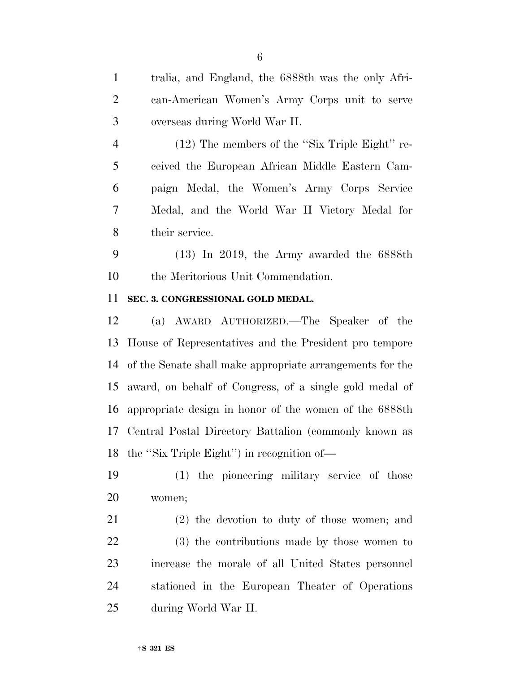paign Medal, the Women's Army Corps Service Medal, and the World War II Victory Medal for (13) In 2019, the Army awarded the 6888th the Meritorious Unit Commendation. (a) AWARD AUTHORIZED.—The Speaker of the (2) the devotion to duty of those women; and

ceived the European African Middle Eastern Cam-

 overseas during World War II. (12) The members of the ''Six Triple Eight'' re-

tralia, and England, the 6888th was the only Afri-

can-American Women's Army Corps unit to serve

- their service.
- 

# **SEC. 3. CONGRESSIONAL GOLD MEDAL.**

 House of Representatives and the President pro tempore of the Senate shall make appropriate arrangements for the award, on behalf of Congress, of a single gold medal of appropriate design in honor of the women of the 6888th Central Postal Directory Battalion (commonly known as the ''Six Triple Eight'') in recognition of—

 (1) the pioneering military service of those women;

 (3) the contributions made by those women to increase the morale of all United States personnel stationed in the European Theater of Operations during World War II.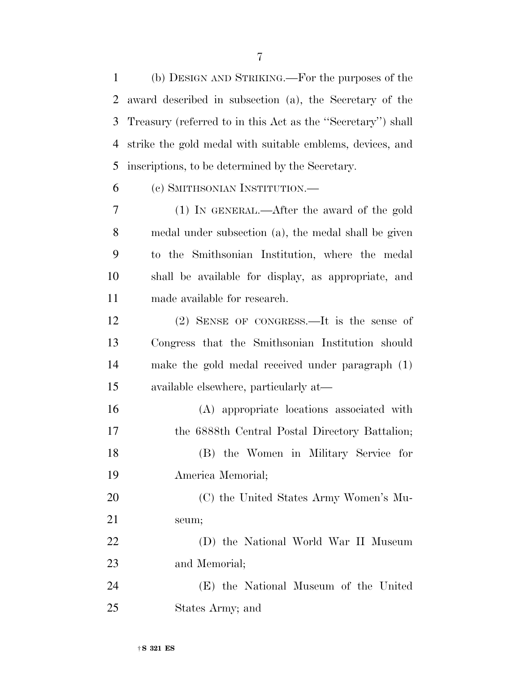(b) DESIGN AND STRIKING.—For the purposes of the award described in subsection (a), the Secretary of the Treasury (referred to in this Act as the ''Secretary'') shall strike the gold medal with suitable emblems, devices, and inscriptions, to be determined by the Secretary.

(c) SMITHSONIAN INSTITUTION.—

 (1) IN GENERAL.—After the award of the gold medal under subsection (a), the medal shall be given to the Smithsonian Institution, where the medal shall be available for display, as appropriate, and made available for research.

 (2) SENSE OF CONGRESS.—It is the sense of Congress that the Smithsonian Institution should make the gold medal received under paragraph (1) available elsewhere, particularly at—

 (A) appropriate locations associated with the 6888th Central Postal Directory Battalion; (B) the Women in Military Service for America Memorial;

 (C) the United States Army Women's Mu-seum;

 (D) the National World War II Museum and Memorial;

 (E) the National Museum of the United States Army; and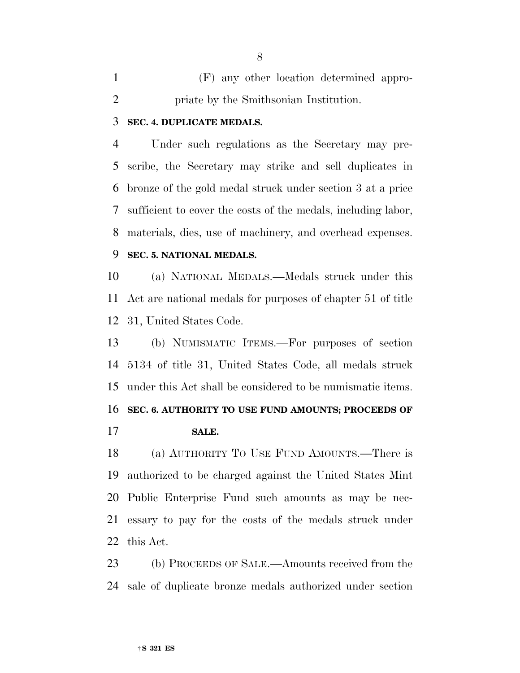(F) any other location determined appro-priate by the Smithsonian Institution.

## **SEC. 4. DUPLICATE MEDALS.**

 Under such regulations as the Secretary may pre- scribe, the Secretary may strike and sell duplicates in bronze of the gold medal struck under section 3 at a price sufficient to cover the costs of the medals, including labor, materials, dies, use of machinery, and overhead expenses.

# **SEC. 5. NATIONAL MEDALS.**

 (a) NATIONAL MEDALS.—Medals struck under this Act are national medals for purposes of chapter 51 of title 31, United States Code.

 (b) NUMISMATIC ITEMS.—For purposes of section 5134 of title 31, United States Code, all medals struck under this Act shall be considered to be numismatic items. **SEC. 6. AUTHORITY TO USE FUND AMOUNTS; PROCEEDS OF SALE.** 

 (a) AUTHORITY TO USE FUND AMOUNTS.—There is authorized to be charged against the United States Mint Public Enterprise Fund such amounts as may be nec- essary to pay for the costs of the medals struck under this Act.

 (b) PROCEEDS OF SALE.—Amounts received from the sale of duplicate bronze medals authorized under section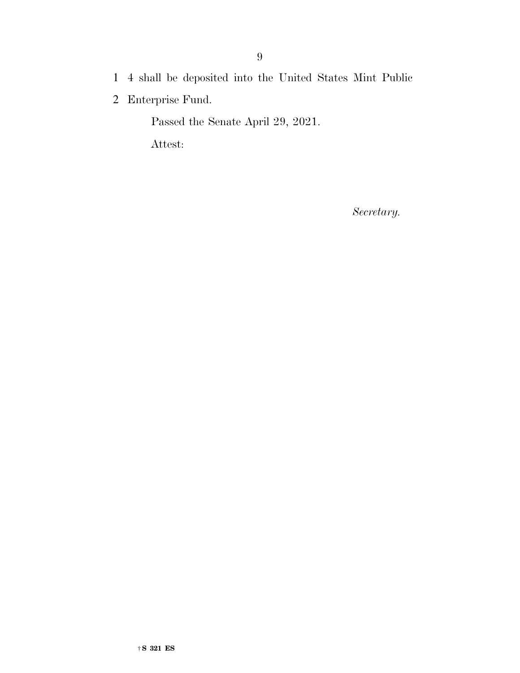- 1 4 shall be deposited into the United States Mint Public
- 2 Enterprise Fund.

Passed the Senate April 29, 2021.

Attest:

*Secretary.*